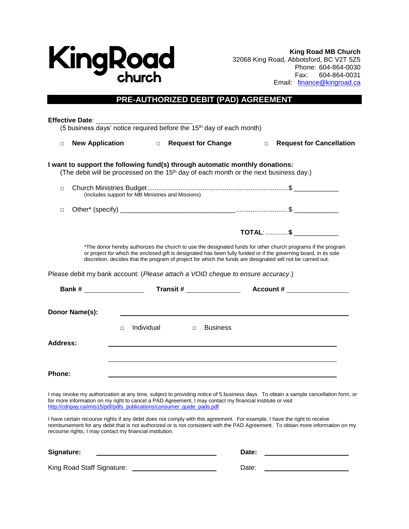

**King Road MB Church** 32068 King Road, Abbotsford, BC V2T 5Z5 Phone: 604-864-0030 Fax: 604-864-0031 Email: finance@kingroad.ca

## **PRE-AUTHORIZED DEBIT (PAD) AGREEMENT**

| <b>Effective Date:</b>                                                                                                                                                             |                      | (5 business days' notice required before the 15 <sup>th</sup> day of each month)                  |                 |                                                                                                                                                                                                                                                                                                                                                  |
|------------------------------------------------------------------------------------------------------------------------------------------------------------------------------------|----------------------|---------------------------------------------------------------------------------------------------|-----------------|--------------------------------------------------------------------------------------------------------------------------------------------------------------------------------------------------------------------------------------------------------------------------------------------------------------------------------------------------|
| <b>New Application</b><br>$\Box$                                                                                                                                                   |                      | □ Request for Change                                                                              |                 | <b>Request for Cancellation</b><br>$\Box$                                                                                                                                                                                                                                                                                                        |
| I want to support the following fund(s) through automatic monthly donations:                                                                                                       |                      | (The debit will be processed on the 15 <sup>th</sup> day of each month or the next business day.) |                 |                                                                                                                                                                                                                                                                                                                                                  |
| $\Box$<br>(Includes support for MB Ministries and Missions)                                                                                                                        |                      |                                                                                                   |                 |                                                                                                                                                                                                                                                                                                                                                  |
| $\Box$                                                                                                                                                                             |                      |                                                                                                   |                 |                                                                                                                                                                                                                                                                                                                                                  |
|                                                                                                                                                                                    |                      |                                                                                                   |                 | TOTAL: \$ _____________                                                                                                                                                                                                                                                                                                                          |
|                                                                                                                                                                                    |                      |                                                                                                   |                 | *The donor hereby authorizes the church to use the designated funds for other church programs if the program<br>or project for which the enclosed gift is designated has been fully funded or if the governing board, in its sole<br>discretion, decides that the program of project for which the funds are designated will not be carried out. |
| Please debit my bank account: (Please attach a VOID cheque to ensure accuracy.)                                                                                                    |                      |                                                                                                   |                 |                                                                                                                                                                                                                                                                                                                                                  |
|                                                                                                                                                                                    |                      |                                                                                                   |                 |                                                                                                                                                                                                                                                                                                                                                  |
| Donor Name(s):                                                                                                                                                                     | Individual<br>$\Box$ | $\Box$                                                                                            | <b>Business</b> |                                                                                                                                                                                                                                                                                                                                                  |
| <b>Address:</b>                                                                                                                                                                    |                      |                                                                                                   |                 |                                                                                                                                                                                                                                                                                                                                                  |
| Phone:                                                                                                                                                                             |                      |                                                                                                   |                 |                                                                                                                                                                                                                                                                                                                                                  |
| for more information on my right to cancel a PAD Agreement, I may contact my financial institute or visit<br>http://cdnpay.ca/imis15/pdf/pdfs_publications/consumer_quide_pads.pdf |                      |                                                                                                   |                 | I may revoke my authorization at any time, subject to providing notice of 5 business days. To obtain a sample cancellation form, or                                                                                                                                                                                                              |
| recourse rights, I may contact my financial institution.                                                                                                                           |                      |                                                                                                   |                 | I have certain recourse rights if any debit does not comply with this agreement. For example, I have the right to receive<br>reimbursement for any debit that is not authorized or is not consistent with the PAD Agreement. To obtain more information on my                                                                                    |
| Signature:                                                                                                                                                                         |                      |                                                                                                   | Date:           |                                                                                                                                                                                                                                                                                                                                                  |
| King Road Staff Signature:                                                                                                                                                         |                      |                                                                                                   | Date:           |                                                                                                                                                                                                                                                                                                                                                  |